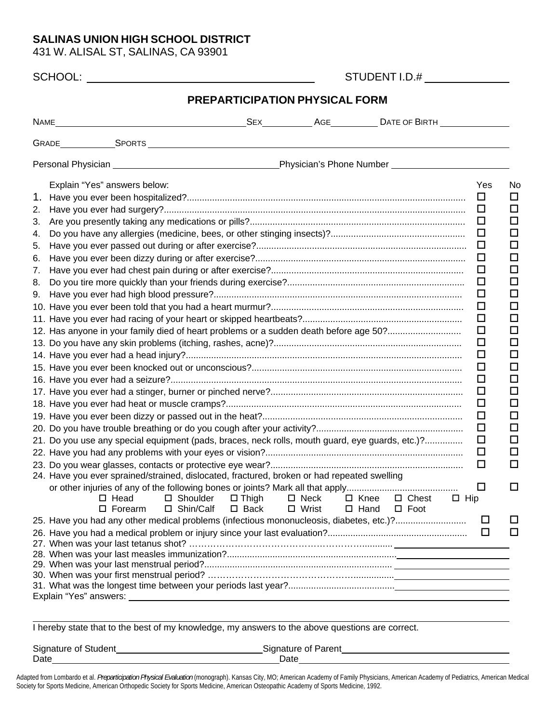## **SALINAS UNION HIGH SCHOOL DISTRICT**

431 W. ALISAL ST, SALINAS, CA 93901

| Explain "Yes" answers below:                                                                    |                                |                                |                            |                                | $\Box$     | Yes    |
|-------------------------------------------------------------------------------------------------|--------------------------------|--------------------------------|----------------------------|--------------------------------|------------|--------|
|                                                                                                 |                                |                                |                            |                                | $\Box$     |        |
| 2.                                                                                              |                                |                                |                            |                                | $\Box$     |        |
| 3.                                                                                              |                                |                                |                            |                                | $\Box$     |        |
| 4.                                                                                              |                                |                                |                            |                                | $\Box$     |        |
| 5.<br>6.                                                                                        |                                |                                |                            |                                | $\Box$     |        |
| 7.                                                                                              |                                |                                |                            |                                | $\Box$     |        |
| 8.                                                                                              |                                |                                |                            |                                | $\Box$     |        |
| 9.                                                                                              |                                |                                |                            |                                | $\Box$     |        |
|                                                                                                 |                                |                                |                            |                                | $\Box$     |        |
|                                                                                                 |                                |                                |                            |                                | $\Box$     |        |
| 12. Has anyone in your family died of heart problems or a sudden death before age 50?           |                                |                                |                            |                                | $\Box$     |        |
|                                                                                                 |                                |                                |                            |                                | $\Box$     |        |
|                                                                                                 |                                |                                |                            |                                | □          |        |
|                                                                                                 |                                |                                |                            |                                | $\Box$     |        |
|                                                                                                 |                                |                                |                            |                                | $\Box$     |        |
|                                                                                                 |                                |                                |                            |                                | $\Box$     |        |
|                                                                                                 |                                |                                |                            |                                | $\Box$     |        |
|                                                                                                 |                                |                                |                            |                                | $\Box$     |        |
|                                                                                                 |                                |                                |                            |                                | □          |        |
| 21. Do you use any special equipment (pads, braces, neck rolls, mouth guard, eye guards, etc.)? |                                |                                |                            |                                | $\Box$     |        |
|                                                                                                 |                                |                                |                            |                                | $\Box$     |        |
|                                                                                                 |                                |                                |                            |                                | □          |        |
| 24. Have you ever sprained/strained, dislocated, fractured, broken or had repeated swelling     |                                |                                |                            |                                |            |        |
|                                                                                                 |                                |                                |                            |                                | ப          |        |
| □ Shoulder<br>$\Box$ Head<br>□ Shin/Calf<br>$\square$ Forearm                                   | $\Box$ Thigh<br>$\square$ Back | $\square$ Neck<br>$\Box$ Wrist | $\Box$ Knee<br>$\Box$ Hand | $\Box$ Chest<br>$\square$ Foot | $\Box$ Hip |        |
| 25. Have you had any other medical problems (infectious mononucleosis, diabetes, etc.)?         |                                |                                |                            |                                |            | $\Box$ |
|                                                                                                 |                                |                                |                            |                                |            | □      |
|                                                                                                 |                                |                                |                            |                                |            |        |
|                                                                                                 |                                |                                |                            |                                |            |        |
|                                                                                                 |                                |                                |                            |                                |            |        |
|                                                                                                 |                                |                                |                            |                                |            |        |
|                                                                                                 |                                |                                |                            |                                |            |        |

| <b>Signature of Student</b> | Signature of Parent |
|-----------------------------|---------------------|
| Date                        | Date                |

Adapted from Lombardo et al. *Preparticipation Physical Evaluation* (monograph). Kansas City, MO; American Academy of Family Physicians, American Academy of Pediatrics, American Medical Society for Sports Medicine, American Orthopedic Society for Sports Medicine, American Osteopathic Academy of Sports Medicine, 1992.